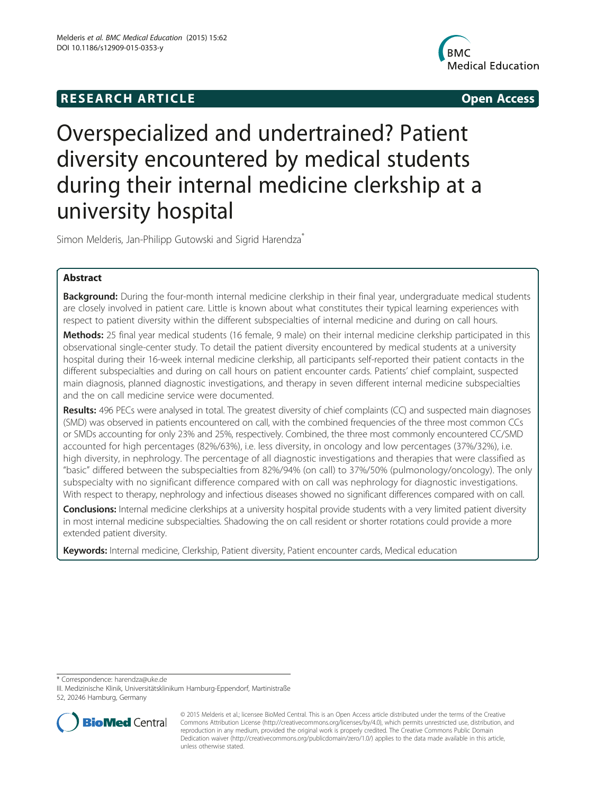# **RESEARCH ARTICLE Example 2014 The SEAR CH ACCESS**



# Overspecialized and undertrained? Patient diversity encountered by medical students during their internal medicine clerkship at a university hospital

Simon Melderis, Jan-Philipp Gutowski and Sigrid Harendza<sup>\*</sup>

# Abstract

**Background:** During the four-month internal medicine clerkship in their final year, undergraduate medical students are closely involved in patient care. Little is known about what constitutes their typical learning experiences with respect to patient diversity within the different subspecialties of internal medicine and during on call hours.

Methods: 25 final year medical students (16 female, 9 male) on their internal medicine clerkship participated in this observational single-center study. To detail the patient diversity encountered by medical students at a university hospital during their 16-week internal medicine clerkship, all participants self-reported their patient contacts in the different subspecialties and during on call hours on patient encounter cards. Patients' chief complaint, suspected main diagnosis, planned diagnostic investigations, and therapy in seven different internal medicine subspecialties and the on call medicine service were documented.

Results: 496 PECs were analysed in total. The greatest diversity of chief complaints (CC) and suspected main diagnoses (SMD) was observed in patients encountered on call, with the combined frequencies of the three most common CCs or SMDs accounting for only 23% and 25%, respectively. Combined, the three most commonly encountered CC/SMD accounted for high percentages (82%/63%), i.e. less diversity, in oncology and low percentages (37%/32%), i.e. high diversity, in nephrology. The percentage of all diagnostic investigations and therapies that were classified as "basic" differed between the subspecialties from 82%/94% (on call) to 37%/50% (pulmonology/oncology). The only subspecialty with no significant difference compared with on call was nephrology for diagnostic investigations. With respect to therapy, nephrology and infectious diseases showed no significant differences compared with on call.

**Conclusions:** Internal medicine clerkships at a university hospital provide students with a very limited patient diversity in most internal medicine subspecialties. Shadowing the on call resident or shorter rotations could provide a more extended patient diversity.

Keywords: Internal medicine, Clerkship, Patient diversity, Patient encounter cards, Medical education

\* Correspondence: [harendza@uke.de](mailto:harendza@uke.de)

III. Medizinische Klinik, Universitätsklinikum Hamburg-Eppendorf, Martinistraße 52, 20246 Hamburg, Germany



<sup>© 2015</sup> Melderis et al.; licensee BioMed Central. This is an Open Access article distributed under the terms of the Creative Commons Attribution License [\(http://creativecommons.org/licenses/by/4.0\)](http://creativecommons.org/licenses/by/4.0), which permits unrestricted use, distribution, and reproduction in any medium, provided the original work is properly credited. The Creative Commons Public Domain Dedication waiver [\(http://creativecommons.org/publicdomain/zero/1.0/](http://creativecommons.org/publicdomain/zero/1.0/)) applies to the data made available in this article, unless otherwise stated.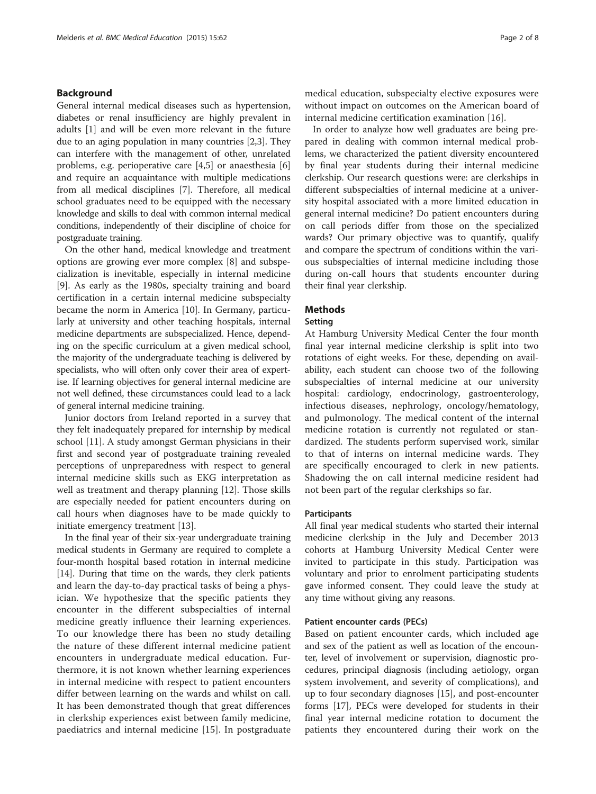# Background

General internal medical diseases such as hypertension, diabetes or renal insufficiency are highly prevalent in adults [\[1](#page-7-0)] and will be even more relevant in the future due to an aging population in many countries [[2,3\]](#page-7-0). They can interfere with the management of other, unrelated problems, e.g. perioperative care [\[4](#page-7-0),[5](#page-7-0)] or anaesthesia [\[6](#page-7-0)] and require an acquaintance with multiple medications from all medical disciplines [\[7](#page-7-0)]. Therefore, all medical school graduates need to be equipped with the necessary knowledge and skills to deal with common internal medical conditions, independently of their discipline of choice for postgraduate training.

On the other hand, medical knowledge and treatment options are growing ever more complex [\[8](#page-7-0)] and subspecialization is inevitable, especially in internal medicine [[9\]](#page-7-0). As early as the 1980s, specialty training and board certification in a certain internal medicine subspecialty became the norm in America [[10\]](#page-7-0). In Germany, particularly at university and other teaching hospitals, internal medicine departments are subspecialized. Hence, depending on the specific curriculum at a given medical school, the majority of the undergraduate teaching is delivered by specialists, who will often only cover their area of expertise. If learning objectives for general internal medicine are not well defined, these circumstances could lead to a lack of general internal medicine training.

Junior doctors from Ireland reported in a survey that they felt inadequately prepared for internship by medical school [\[11\]](#page-7-0). A study amongst German physicians in their first and second year of postgraduate training revealed perceptions of unpreparedness with respect to general internal medicine skills such as EKG interpretation as well as treatment and therapy planning [\[12\]](#page-7-0). Those skills are especially needed for patient encounters during on call hours when diagnoses have to be made quickly to initiate emergency treatment [[13\]](#page-7-0).

In the final year of their six-year undergraduate training medical students in Germany are required to complete a four-month hospital based rotation in internal medicine [[14](#page-7-0)]. During that time on the wards, they clerk patients and learn the day-to-day practical tasks of being a physician. We hypothesize that the specific patients they encounter in the different subspecialties of internal medicine greatly influence their learning experiences. To our knowledge there has been no study detailing the nature of these different internal medicine patient encounters in undergraduate medical education. Furthermore, it is not known whether learning experiences in internal medicine with respect to patient encounters differ between learning on the wards and whilst on call. It has been demonstrated though that great differences in clerkship experiences exist between family medicine, paediatrics and internal medicine [\[15](#page-7-0)]. In postgraduate

medical education, subspecialty elective exposures were without impact on outcomes on the American board of internal medicine certification examination [[16](#page-7-0)].

In order to analyze how well graduates are being prepared in dealing with common internal medical problems, we characterized the patient diversity encountered by final year students during their internal medicine clerkship. Our research questions were: are clerkships in different subspecialties of internal medicine at a university hospital associated with a more limited education in general internal medicine? Do patient encounters during on call periods differ from those on the specialized wards? Our primary objective was to quantify, qualify and compare the spectrum of conditions within the various subspecialties of internal medicine including those during on-call hours that students encounter during their final year clerkship.

# Methods

# Setting

At Hamburg University Medical Center the four month final year internal medicine clerkship is split into two rotations of eight weeks. For these, depending on availability, each student can choose two of the following subspecialties of internal medicine at our university hospital: cardiology, endocrinology, gastroenterology, infectious diseases, nephrology, oncology/hematology, and pulmonology. The medical content of the internal medicine rotation is currently not regulated or standardized. The students perform supervised work, similar to that of interns on internal medicine wards. They are specifically encouraged to clerk in new patients. Shadowing the on call internal medicine resident had not been part of the regular clerkships so far.

## Participants

All final year medical students who started their internal medicine clerkship in the July and December 2013 cohorts at Hamburg University Medical Center were invited to participate in this study. Participation was voluntary and prior to enrolment participating students gave informed consent. They could leave the study at any time without giving any reasons.

#### Patient encounter cards (PECs)

Based on patient encounter cards, which included age and sex of the patient as well as location of the encounter, level of involvement or supervision, diagnostic procedures, principal diagnosis (including aetiology, organ system involvement, and severity of complications), and up to four secondary diagnoses [[15\]](#page-7-0), and post-encounter forms [\[17\]](#page-7-0), PECs were developed for students in their final year internal medicine rotation to document the patients they encountered during their work on the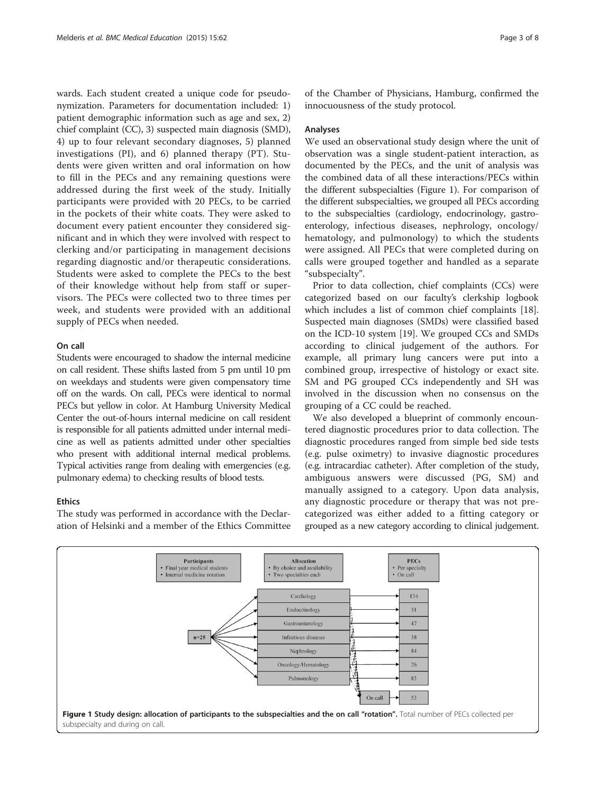wards. Each student created a unique code for pseudonymization. Parameters for documentation included: 1) patient demographic information such as age and sex, 2) chief complaint (CC), 3) suspected main diagnosis (SMD), 4) up to four relevant secondary diagnoses, 5) planned investigations (PI), and 6) planned therapy (PT). Students were given written and oral information on how to fill in the PECs and any remaining questions were addressed during the first week of the study. Initially participants were provided with 20 PECs, to be carried in the pockets of their white coats. They were asked to document every patient encounter they considered significant and in which they were involved with respect to clerking and/or participating in management decisions regarding diagnostic and/or therapeutic considerations. Students were asked to complete the PECs to the best of their knowledge without help from staff or supervisors. The PECs were collected two to three times per week, and students were provided with an additional supply of PECs when needed.

# On call

Students were encouraged to shadow the internal medicine on call resident. These shifts lasted from 5 pm until 10 pm on weekdays and students were given compensatory time off on the wards. On call, PECs were identical to normal PECs but yellow in color. At Hamburg University Medical Center the out-of-hours internal medicine on call resident is responsible for all patients admitted under internal medicine as well as patients admitted under other specialties who present with additional internal medical problems. Typical activities range from dealing with emergencies (e.g. pulmonary edema) to checking results of blood tests.

### Ethics

The study was performed in accordance with the Declaration of Helsinki and a member of the Ethics Committee

of the Chamber of Physicians, Hamburg, confirmed the innocuousness of the study protocol.

# Analyses

We used an observational study design where the unit of observation was a single student-patient interaction, as documented by the PECs, and the unit of analysis was the combined data of all these interactions/PECs within the different subspecialties (Figure 1). For comparison of the different subspecialties, we grouped all PECs according to the subspecialties (cardiology, endocrinology, gastroenterology, infectious diseases, nephrology, oncology/ hematology, and pulmonology) to which the students were assigned. All PECs that were completed during on calls were grouped together and handled as a separate "subspecialty".

Prior to data collection, chief complaints (CCs) were categorized based on our faculty's clerkship logbook which includes a list of common chief complaints [\[18](#page-7-0)]. Suspected main diagnoses (SMDs) were classified based on the ICD-10 system [\[19](#page-7-0)]. We grouped CCs and SMDs according to clinical judgement of the authors. For example, all primary lung cancers were put into a combined group, irrespective of histology or exact site. SM and PG grouped CCs independently and SH was involved in the discussion when no consensus on the grouping of a CC could be reached.

We also developed a blueprint of commonly encountered diagnostic procedures prior to data collection. The diagnostic procedures ranged from simple bed side tests (e.g. pulse oximetry) to invasive diagnostic procedures (e.g. intracardiac catheter). After completion of the study, ambiguous answers were discussed (PG, SM) and manually assigned to a category. Upon data analysis, any diagnostic procedure or therapy that was not precategorized was either added to a fitting category or grouped as a new category according to clinical judgement.

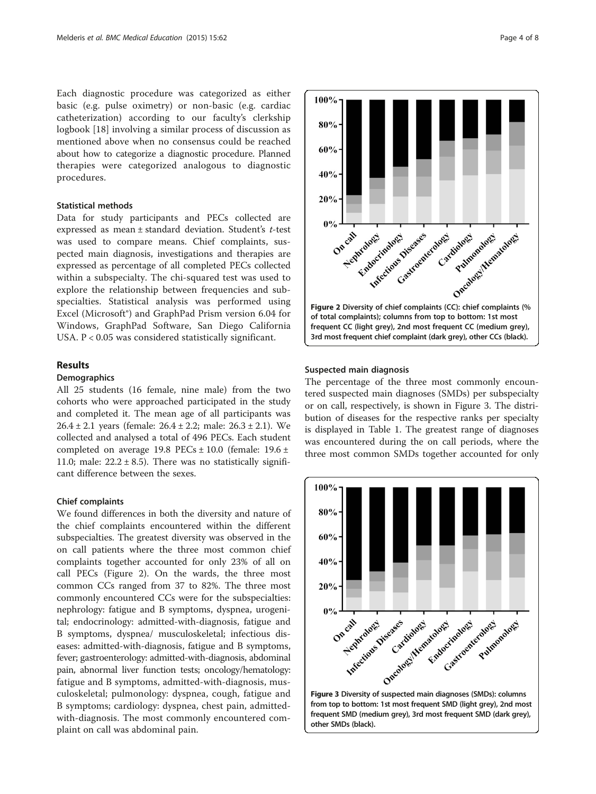Each diagnostic procedure was categorized as either basic (e.g. pulse oximetry) or non-basic (e.g. cardiac catheterization) according to our faculty's clerkship logbook [[18](#page-7-0)] involving a similar process of discussion as mentioned above when no consensus could be reached about how to categorize a diagnostic procedure. Planned therapies were categorized analogous to diagnostic procedures.

#### Statistical methods

Data for study participants and PECs collected are expressed as mean ± standard deviation. Student's t-test was used to compare means. Chief complaints, suspected main diagnosis, investigations and therapies are expressed as percentage of all completed PECs collected within a subspecialty. The chi-squared test was used to explore the relationship between frequencies and subspecialties. Statistical analysis was performed using Excel (Microsoft®) and GraphPad Prism version 6.04 for Windows, GraphPad Software, San Diego California USA. P < 0.05 was considered statistically significant.

# Results

#### **Demographics**

All 25 students (16 female, nine male) from the two cohorts who were approached participated in the study and completed it. The mean age of all participants was  $26.4 \pm 2.1$  years (female:  $26.4 \pm 2.2$ ; male:  $26.3 \pm 2.1$ ). We collected and analysed a total of 496 PECs. Each student completed on average  $19.8$  PECs  $\pm 10.0$  (female:  $19.6 \pm$ 11.0; male:  $22.2 \pm 8.5$ ). There was no statistically significant difference between the sexes.

# Chief complaints

We found differences in both the diversity and nature of the chief complaints encountered within the different subspecialties. The greatest diversity was observed in the on call patients where the three most common chief complaints together accounted for only 23% of all on call PECs (Figure 2). On the wards, the three most common CCs ranged from 37 to 82%. The three most commonly encountered CCs were for the subspecialties: nephrology: fatigue and B symptoms, dyspnea, urogenital; endocrinology: admitted-with-diagnosis, fatigue and B symptoms, dyspnea/ musculoskeletal; infectious diseases: admitted-with-diagnosis, fatigue and B symptoms, fever; gastroenterology: admitted-with-diagnosis, abdominal pain, abnormal liver function tests; oncology/hematology: fatigue and B symptoms, admitted-with-diagnosis, musculoskeletal; pulmonology: dyspnea, cough, fatigue and B symptoms; cardiology: dyspnea, chest pain, admittedwith-diagnosis. The most commonly encountered complaint on call was abdominal pain.



### Suspected main diagnosis

The percentage of the three most commonly encountered suspected main diagnoses (SMDs) per subspecialty or on call, respectively, is shown in Figure 3. The distribution of diseases for the respective ranks per specialty is displayed in Table [1](#page-4-0). The greatest range of diagnoses was encountered during the on call periods, where the three most common SMDs together accounted for only



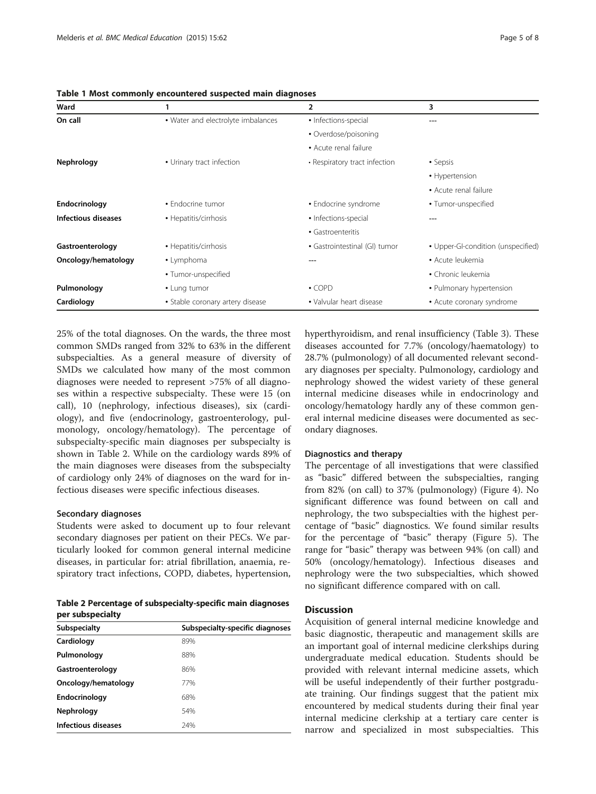| Ward                |                                    | $\overline{2}$                | 3                                  |  |
|---------------------|------------------------------------|-------------------------------|------------------------------------|--|
| On call             | • Water and electrolyte imbalances | • Infections-special          | ---                                |  |
|                     |                                    | • Overdose/poisoning          |                                    |  |
|                     |                                    | • Acute renal failure         |                                    |  |
| <b>Nephrology</b>   | • Urinary tract infection          | • Respiratory tract infection | • Sepsis                           |  |
|                     |                                    |                               | • Hypertension                     |  |
|                     |                                    |                               | • Acute renal failure              |  |
| Endocrinology       | • Endocrine tumor                  | • Endocrine syndrome          | • Tumor-unspecified                |  |
| Infectious diseases | • Hepatitis/cirrhosis              | • Infections-special          |                                    |  |
|                     |                                    | • Gastroenteritis             |                                    |  |
| Gastroenterology    | • Hepatitis/cirrhosis              | • Gastrointestinal (GI) tumor | • Upper-GI-condition (unspecified) |  |
| Oncology/hematology | • Lymphoma                         |                               | • Acute leukemia                   |  |
|                     | • Tumor-unspecified                |                               | • Chronic leukemia                 |  |
| Pulmonology         | • Lung tumor                       | $\cdot$ COPD                  | • Pulmonary hypertension           |  |
| Cardiology          | • Stable coronary artery disease   | • Valvular heart disease      | • Acute coronary syndrome          |  |

<span id="page-4-0"></span>Table 1 Most commonly encountered suspected main diagnoses

25% of the total diagnoses. On the wards, the three most common SMDs ranged from 32% to 63% in the different subspecialties. As a general measure of diversity of SMDs we calculated how many of the most common diagnoses were needed to represent >75% of all diagnoses within a respective subspecialty. These were 15 (on call), 10 (nephrology, infectious diseases), six (cardiology), and five (endocrinology, gastroenterology, pulmonology, oncology/hematology). The percentage of subspecialty-specific main diagnoses per subspecialty is shown in Table 2. While on the cardiology wards 89% of the main diagnoses were diseases from the subspecialty of cardiology only 24% of diagnoses on the ward for infectious diseases were specific infectious diseases.

# Secondary diagnoses

Students were asked to document up to four relevant secondary diagnoses per patient on their PECs. We particularly looked for common general internal medicine diseases, in particular for: atrial fibrillation, anaemia, respiratory tract infections, COPD, diabetes, hypertension,

Table 2 Percentage of subspecialty-specific main diagnoses per subspecialty

| Subspecialty        | Subspecialty-specific diagnoses |
|---------------------|---------------------------------|
| Cardiology          | 89%                             |
| Pulmonology         | 88%                             |
| Gastroenterology    | 86%                             |
| Oncology/hematology | 77%                             |
| Endocrinology       | 68%                             |
| <b>Nephrology</b>   | 54%                             |
| Infectious diseases | 24%                             |

hyperthyroidism, and renal insufficiency (Table [3\)](#page-5-0). These diseases accounted for 7.7% (oncology/haematology) to 28.7% (pulmonology) of all documented relevant secondary diagnoses per specialty. Pulmonology, cardiology and nephrology showed the widest variety of these general internal medicine diseases while in endocrinology and oncology/hematology hardly any of these common general internal medicine diseases were documented as secondary diagnoses.

# Diagnostics and therapy

The percentage of all investigations that were classified as "basic" differed between the subspecialties, ranging from 82% (on call) to 37% (pulmonology) (Figure [4](#page-5-0)). No significant difference was found between on call and nephrology, the two subspecialties with the highest percentage of "basic" diagnostics. We found similar results for the percentage of "basic" therapy (Figure [5\)](#page-5-0). The range for "basic" therapy was between 94% (on call) and 50% (oncology/hematology). Infectious diseases and nephrology were the two subspecialties, which showed no significant difference compared with on call.

# **Discussion**

Acquisition of general internal medicine knowledge and basic diagnostic, therapeutic and management skills are an important goal of internal medicine clerkships during undergraduate medical education. Students should be provided with relevant internal medicine assets, which will be useful independently of their further postgraduate training. Our findings suggest that the patient mix encountered by medical students during their final year internal medicine clerkship at a tertiary care center is narrow and specialized in most subspecialties. This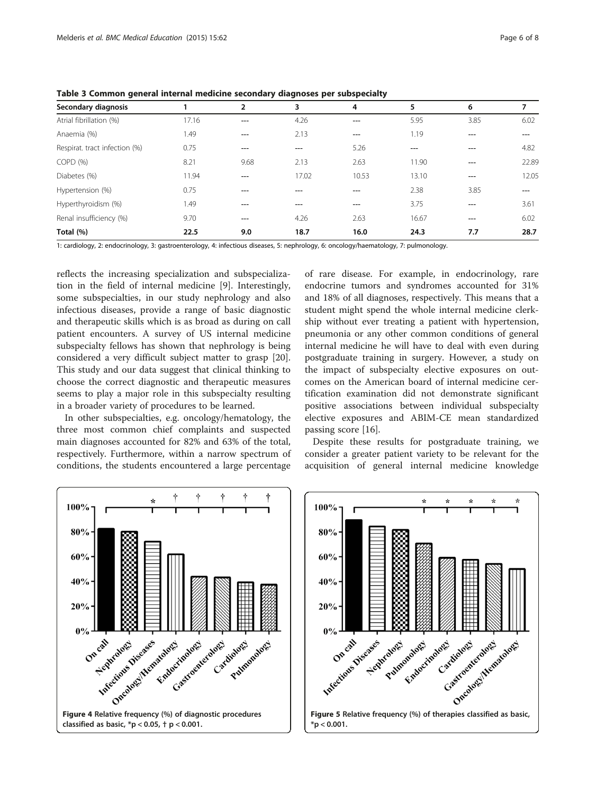| Secondary diagnosis           |       | $\overline{2}$ | 3     | 4     | 5     | 6     | 7     |
|-------------------------------|-------|----------------|-------|-------|-------|-------|-------|
| Atrial fibrillation (%)       | 17.16 | $---$          | 4.26  | $---$ | 5.95  | 3.85  | 6.02  |
| Anaemia (%)                   | 1.49  | ---            | 2.13  | ---   | 1.19  | ---   |       |
| Respirat. tract infection (%) | 0.75  | ---            | ---   | 5.26  | $---$ | ---   | 4.82  |
| COPD (%)                      | 8.21  | 9.68           | 2.13  | 2.63  | 11.90 | $---$ | 22.89 |
| Diabetes (%)                  | 11.94 | ---            | 17.02 | 10.53 | 13.10 | $---$ | 12.05 |
| Hypertension (%)              | 0.75  | ---            | ---   | ---   | 2.38  | 3.85  | ---   |
| Hyperthyroidism (%)           | 1.49  | ---            | ---   | ---   | 3.75  | $---$ | 3.61  |
| Renal insufficiency (%)       | 9.70  | ---            | 4.26  | 2.63  | 16.67 | $---$ | 6.02  |
| Total (%)                     | 22.5  | 9.0            | 18.7  | 16.0  | 24.3  | 7.7   | 28.7  |

<span id="page-5-0"></span>Table 3 Common general internal medicine secondary diagnoses per subspecialty

1: cardiology, 2: endocrinology, 3: gastroenterology, 4: infectious diseases, 5: nephrology, 6: oncology/haematology, 7: pulmonology.

reflects the increasing specialization and subspecialization in the field of internal medicine [[9\]](#page-7-0). Interestingly, some subspecialties, in our study nephrology and also infectious diseases, provide a range of basic diagnostic and therapeutic skills which is as broad as during on call patient encounters. A survey of US internal medicine subspecialty fellows has shown that nephrology is being considered a very difficult subject matter to grasp [\[20](#page-7-0)]. This study and our data suggest that clinical thinking to choose the correct diagnostic and therapeutic measures seems to play a major role in this subspecialty resulting in a broader variety of procedures to be learned.

In other subspecialties, e.g. oncology/hematology, the three most common chief complaints and suspected main diagnoses accounted for 82% and 63% of the total, respectively. Furthermore, within a narrow spectrum of conditions, the students encountered a large percentage

of rare disease. For example, in endocrinology, rare endocrine tumors and syndromes accounted for 31% and 18% of all diagnoses, respectively. This means that a student might spend the whole internal medicine clerkship without ever treating a patient with hypertension, pneumonia or any other common conditions of general internal medicine he will have to deal with even during postgraduate training in surgery. However, a study on the impact of subspecialty elective exposures on outcomes on the American board of internal medicine certification examination did not demonstrate significant positive associations between individual subspecialty elective exposures and ABIM-CE mean standardized passing score [\[16\]](#page-7-0).

Despite these results for postgraduate training, we consider a greater patient variety to be relevant for the acquisition of general internal medicine knowledge



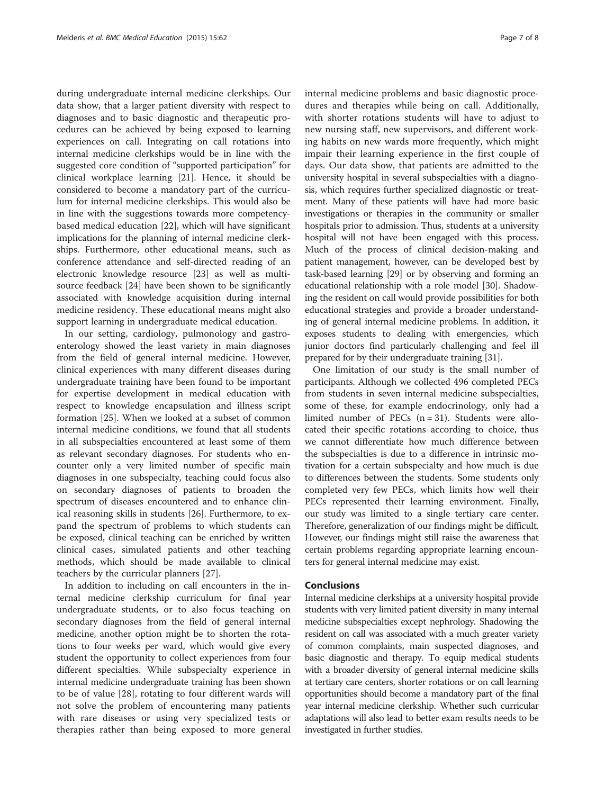during undergraduate internal medicine clerkships. Our data show, that a larger patient diversity with respect to diagnoses and to basic diagnostic and therapeutic procedures can be achieved by being exposed to learning experiences on call. Integrating on call rotations into internal medicine clerkships would be in line with the suggested core condition of "supported participation" for clinical workplace learning [[21\]](#page-7-0). Hence, it should be considered to become a mandatory part of the curriculum for internal medicine clerkships. This would also be in line with the suggestions towards more competencybased medical education [[22\]](#page-7-0), which will have significant implications for the planning of internal medicine clerkships. Furthermore, other educational means, such as conference attendance and self-directed reading of an electronic knowledge resource [[23\]](#page-7-0) as well as multisource feedback [\[24](#page-7-0)] have been shown to be significantly associated with knowledge acquisition during internal medicine residency. These educational means might also support learning in undergraduate medical education.

In our setting, cardiology, pulmonology and gastroenterology showed the least variety in main diagnoses from the field of general internal medicine. However, clinical experiences with many different diseases during undergraduate training have been found to be important for expertise development in medical education with respect to knowledge encapsulation and illness script formation [[25](#page-7-0)]. When we looked at a subset of common internal medicine conditions, we found that all students in all subspecialties encountered at least some of them as relevant secondary diagnoses. For students who encounter only a very limited number of specific main diagnoses in one subspecialty, teaching could focus also on secondary diagnoses of patients to broaden the spectrum of diseases encountered and to enhance clinical reasoning skills in students [\[26\]](#page-7-0). Furthermore, to expand the spectrum of problems to which students can be exposed, clinical teaching can be enriched by written clinical cases, simulated patients and other teaching methods, which should be made available to clinical teachers by the curricular planners [\[27](#page-7-0)].

In addition to including on call encounters in the internal medicine clerkship curriculum for final year undergraduate students, or to also focus teaching on secondary diagnoses from the field of general internal medicine, another option might be to shorten the rotations to four weeks per ward, which would give every student the opportunity to collect experiences from four different specialties. While subspecialty experience in internal medicine undergraduate training has been shown to be of value [[28\]](#page-7-0), rotating to four different wards will not solve the problem of encountering many patients with rare diseases or using very specialized tests or therapies rather than being exposed to more general internal medicine problems and basic diagnostic procedures and therapies while being on call. Additionally, with shorter rotations students will have to adjust to new nursing staff, new supervisors, and different working habits on new wards more frequently, which might impair their learning experience in the first couple of days. Our data show, that patients are admitted to the university hospital in several subspecialties with a diagnosis, which requires further specialized diagnostic or treatment. Many of these patients will have had more basic investigations or therapies in the community or smaller hospitals prior to admission. Thus, students at a university hospital will not have been engaged with this process. Much of the process of clinical decision-making and patient management, however, can be developed best by task-based learning [[29](#page-7-0)] or by observing and forming an educational relationship with a role model [\[30\]](#page-7-0). Shadowing the resident on call would provide possibilities for both educational strategies and provide a broader understanding of general internal medicine problems. In addition, it exposes students to dealing with emergencies, which junior doctors find particularly challenging and feel ill prepared for by their undergraduate training [\[31](#page-7-0)].

One limitation of our study is the small number of participants. Although we collected 496 completed PECs from students in seven internal medicine subspecialties, some of these, for example endocrinology, only had a limited number of PECs  $(n = 31)$ . Students were allocated their specific rotations according to choice, thus we cannot differentiate how much difference between the subspecialties is due to a difference in intrinsic motivation for a certain subspecialty and how much is due to differences between the students. Some students only completed very few PECs, which limits how well their PECs represented their learning environment. Finally, our study was limited to a single tertiary care center. Therefore, generalization of our findings might be difficult. However, our findings might still raise the awareness that certain problems regarding appropriate learning encounters for general internal medicine may exist.

# **Conclusions**

Internal medicine clerkships at a university hospital provide students with very limited patient diversity in many internal medicine subspecialties except nephrology. Shadowing the resident on call was associated with a much greater variety of common complaints, main suspected diagnoses, and basic diagnostic and therapy. To equip medical students with a broader diversity of general internal medicine skills at tertiary care centers, shorter rotations or on call learning opportunities should become a mandatory part of the final year internal medicine clerkship. Whether such curricular adaptations will also lead to better exam results needs to be investigated in further studies.